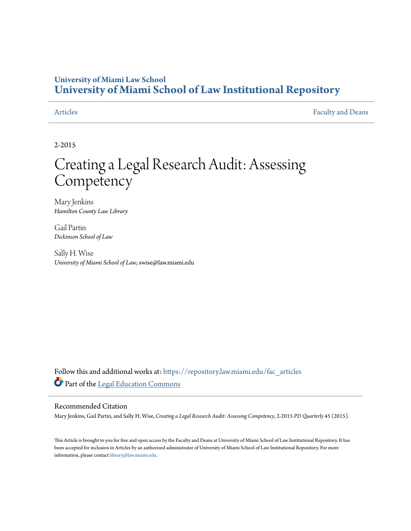#### **University of Miami Law School [University of Miami School of Law Institutional Repository](https://repository.law.miami.edu?utm_source=repository.law.miami.edu%2Ffac_articles%2F124&utm_medium=PDF&utm_campaign=PDFCoverPages)**

[Articles](https://repository.law.miami.edu/fac_articles?utm_source=repository.law.miami.edu%2Ffac_articles%2F124&utm_medium=PDF&utm_campaign=PDFCoverPages) **[Faculty and Deans](https://repository.law.miami.edu/faculty_publications?utm_source=repository.law.miami.edu%2Ffac_articles%2F124&utm_medium=PDF&utm_campaign=PDFCoverPages)** Faculty and Deans

2-2015

## Creating a Legal Research Audit: Assessing **Competency**

Mary Jenkins *Hamilton County Law Library*

Gail Partin *Dickinson School of Law*

Sally H. Wise *University of Miami School of Law*, swise@law.miami.edu

Follow this and additional works at: [https://repository.law.miami.edu/fac\\_articles](https://repository.law.miami.edu/fac_articles?utm_source=repository.law.miami.edu%2Ffac_articles%2F124&utm_medium=PDF&utm_campaign=PDFCoverPages) Part of the [Legal Education Commons](http://network.bepress.com/hgg/discipline/857?utm_source=repository.law.miami.edu%2Ffac_articles%2F124&utm_medium=PDF&utm_campaign=PDFCoverPages)

#### Recommended Citation

Mary Jenkins, Gail Partin, and Sally H. Wise, *Creating a Legal Research Audit: Assessing Competency*, 2-2015 *PD Quarterly* 45 (2015).

This Article is brought to you for free and open access by the Faculty and Deans at University of Miami School of Law Institutional Repository. It has been accepted for inclusion in Articles by an authorized administrator of University of Miami School of Law Institutional Repository. For more information, please contact [library@law.miami.edu.](mailto:library@law.miami.edu)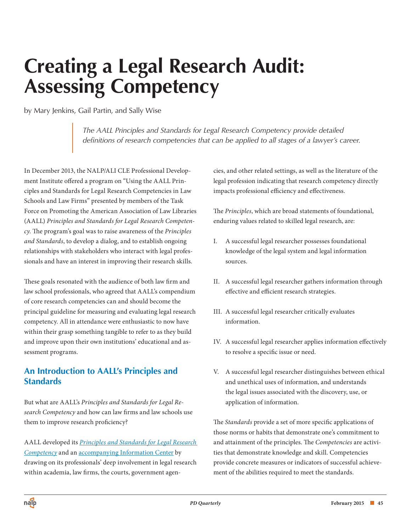# **Creating a Legal Research Audit: Assessing Competency**

by Mary Jenkins, Gail Partin, and Sally Wise

*The AALL Principles and Standards for Legal Research Competency provide detailed definitions of research competencies that can be applied to all stages of a lawyer's career.* 

In December 2013, the NALP/ALI CLE Professional Development Institute offered a program on "Using the AALL Principles and Standards for Legal Research Competencies in Law Schools and Law Firms" presented by members of the Task Force on Promoting the American Association of Law Libraries (AALL) *Principles and Standards for Legal Research Competency*. The program's goal was to raise awareness of the *Principles and Standards*, to develop a dialog, and to establish ongoing relationships with stakeholders who interact with legal professionals and have an interest in improving their research skills.

These goals resonated with the audience of both law firm and law school professionals, who agreed that AALL's compendium of core research competencies can and should become the principal guideline for measuring and evaluating legal research competency. All in attendance were enthusiastic to now have within their grasp something tangible to refer to as they build and improve upon their own institutions' educational and assessment programs.

#### **An Introduction to AALL's Principles and Standards**

But what are AALL's *Principles and Standards for Legal Research Competency* and how can law firms and law schools use them to improve research proficiency?

AALL developed its *[Principles and Standards for Legal Research](http://www.aallnet.org/mm/Advocacy/legalresearchcompetency/principlesstds)  [Competency](http://www.aallnet.org/mm/Advocacy/legalresearchcompetency/principlesstds)* and an [accompanying Information Center b](http://aallnet.org/mm/Advocacy/legalresearchcompetency)y drawing on its professionals' deep involvement in legal research within academia, law firms, the courts, government agencies, and other related settings, as well as the literature of the legal profession indicating that research competency directly impacts professional efficiency and effectiveness.

The *Principles*, which are broad statements of foundational, enduring values related to skilled legal research, are:

- I. A successful legal researcher possesses foundational knowledge of the legal system and legal information sources.
- II. A successful legal researcher gathers information through effective and efficient research strategies.
- III. A successful legal researcher critically evaluates information.
- IV. A successful legal researcher applies information effectively to resolve a specific issue or need.
- V. A successful legal researcher distinguishes between ethical and unethical uses of information, and understands the legal issues associated with the discovery, use, or application of information.

The *Standards* provide a set of more specific applications of those norms or habits that demonstrate one's commitment to and attainment of the principles. The *Competencies* are activities that demonstrate knowledge and skill. Competencies provide concrete measures or indicators of successful achievement of the abilities required to meet the standards.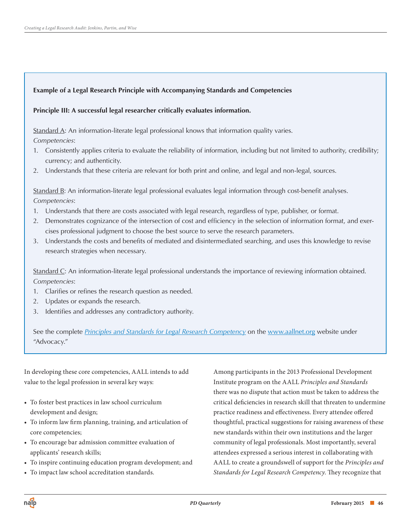#### **Example of a Legal Research Principle with Accompanying Standards and Competencies**

#### **Principle III: A successful legal researcher critically evaluates information.**

Standard A: An information-literate legal professional knows that information quality varies. *Competencies*:

- 1. Consistently applies criteria to evaluate the reliability of information, including but not limited to authority, credibility; currency; and authenticity.
- 2. Understands that these criteria are relevant for both print and online, and legal and non-legal, sources.

Standard B: An information-literate legal professional evaluates legal information through cost-benefit analyses. *Competencies*:

- 1. Understands that there are costs associated with legal research, regardless of type, publisher, or format.
- 2. Demonstrates cognizance of the intersection of cost and efficiency in the selection of information format, and exercises professional judgment to choose the best source to serve the research parameters.
- 3. Understands the costs and benefits of mediated and disintermediated searching, and uses this knowledge to revise research strategies when necessary.

Standard C: An information-literate legal professional understands the importance of reviewing information obtained. *Competencies*:

- 1. Clarifies or refines the research question as needed.
- 2. Updates or expands the research.
- 3. Identifies and addresses any contradictory authority.

See the complete *[Principles and Standards for Legal Research Competency](http://www.aallnet.org/mm/Advocacy/legalresearchcompetency/principlesstds)* on the [www.aallnet.org](http://www.aallnet.org) website under "Advocacy."

In developing these core competencies, AALL intends to add value to the legal profession in several key ways:

- To foster best practices in law school curriculum development and design;
- • To inform law firm planning, training, and articulation of core competencies;
- • To encourage bar admission committee evaluation of applicants' research skills;
- • To inspire continuing education program development; and
- • To impact law school accreditation standards.

Among participants in the 2013 Professional Development Institute program on the AALL *Principles and Standards* there was no dispute that action must be taken to address the critical deficiencies in research skill that threaten to undermine practice readiness and effectiveness. Every attendee offered thoughtful, practical suggestions for raising awareness of these new standards within their own institutions and the larger community of legal professionals. Most importantly, several attendees expressed a serious interest in collaborating with AALL to create a groundswell of support for the *Principles and Standards for Legal Research Competency*. They recognize that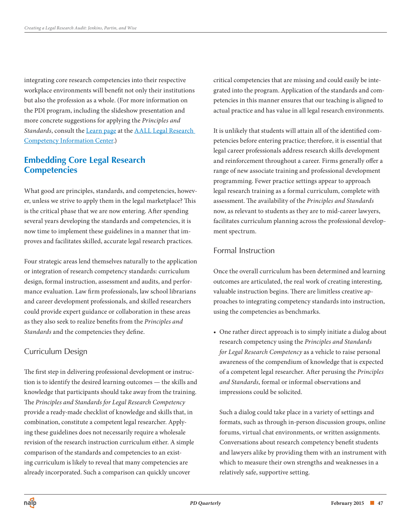integrating core research competencies into their respective workplace environments will benefit not only their institutions but also the profession as a whole. (For more information on the PDI program, including the slideshow presentation and more concrete suggestions for applying the *Principles and Standards*, consult th[e Learn page](http://www.aallnet.org/main-menu/Advocacy/legalresearchcompetency/learn) at the [AALL Legal Research](http://www.aallnet.org/mm/Advocacy/legalresearchcompetency)  [Competency Information Center.\)](http://www.aallnet.org/mm/Advocacy/legalresearchcompetency)

#### **Embedding Core Legal Research Competencies**

What good are principles, standards, and competencies, however, unless we strive to apply them in the legal marketplace? This is the critical phase that we are now entering. After spending several years developing the standards and competencies, it is now time to implement these guidelines in a manner that improves and facilitates skilled, accurate legal research practices.

Four strategic areas lend themselves naturally to the application or integration of research competency standards: curriculum design, formal instruction, assessment and audits, and performance evaluation. Law firm professionals, law school librarians and career development professionals, and skilled researchers could provide expert guidance or collaboration in these areas as they also seek to realize benefits from the *Principles and Standards* and the competencies they define.

#### Curriculum Design

The first step in delivering professional development or instruction is to identify the desired learning outcomes — the skills and knowledge that participants should take away from the training. The *Principles and Standards for Legal Research Competency* provide a ready-made checklist of knowledge and skills that, in combination, constitute a competent legal researcher. Applying these guidelines does not necessarily require a wholesale revision of the research instruction curriculum either. A simple comparison of the standards and competencies to an existing curriculum is likely to reveal that many competencies are already incorporated. Such a comparison can quickly uncover

critical competencies that are missing and could easily be integrated into the program. Application of the standards and competencies in this manner ensures that our teaching is aligned to actual practice and has value in all legal research environments.

It is unlikely that students will attain all of the identified competencies before entering practice; therefore, it is essential that legal career professionals address research skills development and reinforcement throughout a career. Firms generally offer a range of new associate training and professional development programming. Fewer practice settings appear to approach legal research training as a formal curriculum, complete with assessment. The availability of the *Principles and Standards*  now, as relevant to students as they are to mid-career lawyers, facilitates curriculum planning across the professional development spectrum.

#### Formal Instruction

Once the overall curriculum has been determined and learning outcomes are articulated, the real work of creating interesting, valuable instruction begins. There are limitless creative approaches to integrating competency standards into instruction, using the competencies as benchmarks.

• One rather direct approach is to simply initiate a dialog about research competency using the *Principles and Standards for Legal Research Competency* as a vehicle to raise personal awareness of the compendium of knowledge that is expected of a competent legal researcher. After perusing the *Principles and Standards*, formal or informal observations and impressions could be solicited.

Such a dialog could take place in a variety of settings and formats, such as through in-person discussion groups, online forums, virtual chat environments, or written assignments. Conversations about research competency benefit students and lawyers alike by providing them with an instrument with which to measure their own strengths and weaknesses in a relatively safe, supportive setting.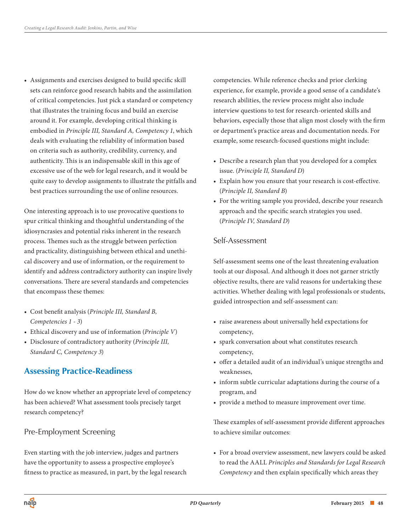• Assignments and exercises designed to build specific skill sets can reinforce good research habits and the assimilation of critical competencies. Just pick a standard or competency that illustrates the training focus and build an exercise around it. For example, developing critical thinking is embodied in *Principle III, Standard A, Competency 1*, which deals with evaluating the reliability of information based on criteria such as authority, credibility, currency, and authenticity. This is an indispensable skill in this age of excessive use of the web for legal research, and it would be quite easy to develop assignments to illustrate the pitfalls and best practices surrounding the use of online resources.

One interesting approach is to use provocative questions to spur critical thinking and thoughtful understanding of the idiosyncrasies and potential risks inherent in the research process. Themes such as the struggle between perfection and practicality, distinguishing between ethical and unethical discovery and use of information, or the requirement to identify and address contradictory authority can inspire lively conversations. There are several standards and competencies that encompass these themes:

- • Cost benefit analysis (*Principle III, Standard B, Competencies 1 - 3*)
- • Ethical discovery and use of information (*Principle V*)
- • Disclosure of contradictory authority (*Principle III, Standard C, Competency 3*)

#### **Assessing Practice-Readiness**

How do we know whether an appropriate level of competency has been achieved? What assessment tools precisely target research competency?

#### Pre-Employment Screening

Even starting with the job interview, judges and partners have the opportunity to assess a prospective employee's fitness to practice as measured, in part, by the legal research competencies. While reference checks and prior clerking experience, for example, provide a good sense of a candidate's research abilities, the review process might also include interview questions to test for research-oriented skills and behaviors, especially those that align most closely with the firm or department's practice areas and documentation needs. For example, some research-focused questions might include:

- Describe a research plan that you developed for a complex issue. (*Principle II, Standard D*)
- • Explain how you ensure that your research is cost-effective. (*Principle II, Standard B*)
- For the writing sample you provided, describe your research approach and the specific search strategies you used. (*Principle IV, Standard D*)

#### Self-Assessment

Self-assessment seems one of the least threatening evaluation tools at our disposal. And although it does not garner strictly objective results, there are valid reasons for undertaking these activities. Whether dealing with legal professionals or students, guided introspection and self-assessment can:

- raise awareness about universally held expectations for competency,
- • spark conversation about what constitutes research competency,
- • offer a detailed audit of an individual's unique strengths and weaknesses,
- inform subtle curricular adaptations during the course of a program, and
- provide a method to measure improvement over time.

These examples of self-assessment provide different approaches to achieve similar outcomes:

• For a broad overview assessment, new lawyers could be asked to read the AALL *Principles and Standards for Legal Research Competency* and then explain specifically which areas they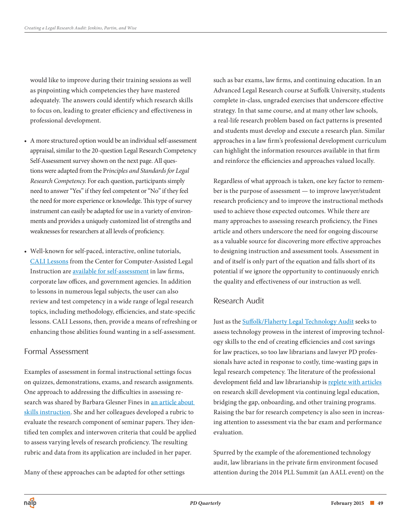would like to improve during their training sessions as well as pinpointing which competencies they have mastered adequately. The answers could identify which research skills to focus on, leading to greater efficiency and effectiveness in professional development.

- • A more structured option would be an individual self-assessment appraisal, similar to the 20-question Legal Research Competency Self-Assessment survey shown on the next page. All questions were adapted from the P*rinciples and Standards for Legal Research Competency*. For each question, participants simply need to answer "Yes" if they feel competent or "No" if they feel the need for more experience or knowledge. This type of survey instrument can easily be adapted for use in a variety of environments and provides a uniquely customized list of strengths and weaknesses for researchers at all levels of proficiency.
- • Well-known for self-paced, interactive, online tutorials, [CALI Lessons](http://www.cali.org/lesson) from the Center for Computer-Assisted Legal Instruction are [available for self-assessment](http://www.cali.org/sites/default/files/LawFirmAffiliateMembership13-14alt.doc) in law firms, corporate law offices, and government agencies. In addition to lessons in numerous legal subjects, the user can also review and test competency in a wide range of legal research topics, including methodology, efficiencies, and state-specific lessons. CALI Lessons, then, provide a means of refreshing or enhancing those abilities found wanting in a self-assessment.

#### Formal Assessment

Examples of assessment in formal instructional settings focus on quizzes, demonstrations, exams, and research assignments. One approach to addressing the difficulties in assessing research was shared by Barbara Glesner Fines in an article about skills instruction. She and her colleagues developed a rubric to evaluate the research component of seminar papers. They identified ten complex and interwoven criteria that could be applied to assess varying levels of research proficiency. The resulting rubric and data from its application are included in her paper.

Many of these approaches can be adapted for other settings

such as bar exams, law firms, and continuing education. In an Advanced Legal Research course at Suffolk University, students complete in-class, ungraded exercises that underscore effective strategy. In that same course, and at many other law schools, a real-life research problem based on fact patterns is presented and students must develop and execute a research plan. Similar approaches in a law firm's professional development curriculum can highlight the information resources available in that firm and reinforce the efficiencies and approaches valued locally.

Regardless of what approach is taken, one key factor to remember is the purpose of assessment — to improve lawyer/student research proficiency and to improve the instructional methods used to achieve those expected outcomes. While there are many approaches to assessing research proficiency, the Fines article and others underscore the need for ongoing discourse as a valuable source for discovering more effective approaches to designing instruction and assessment tools. Assessment in and of itself is only part of the equation and falls short of its potential if we ignore the opportunity to continuously enrich the quality and effectiveness of our instruction as well.

#### Research Audit

Just as the [Suffolk/Flaherty Legal Technology Audit s](http://www.legaltechaudit.com/)eeks to assess technology prowess in the interest of improving technology skills to the end of creating efficiencies and cost savings for law practices, so too law librarians and lawyer PD professionals have acted in response to costly, time-wasting gaps in legal research competency. The literature of the professional development field and law librarianship is [replete with articles](http://www.legaltechaudit.com/) on research skill development via continuing legal education, bridging the gap, onboarding, and other training programs. Raising the bar for research competency is also seen in increasing attention to assessment via the bar exam and performance evaluation.

Spurred by the example of the aforementioned technology audit, law librarians in the private firm environment focused attention during the 2014 PLL Summit (an AALL event) on the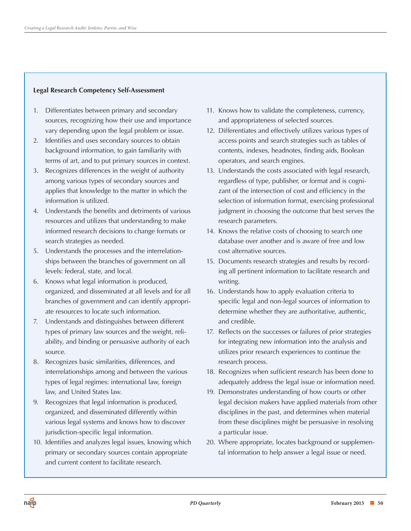#### **Legal Research Competency Self-Assessment**

- 1. Differentiates between primary and secondary sources, recognizing how their use and importance vary depending upon the legal problem or issue.
- 2. Identifies and uses secondary sources to obtain background information, to gain familiarity with terms of art, and to put primary sources in context.
- 3. Recognizes differences in the weight of authority among various types of secondary sources and applies that knowledge to the matter in which the information is utilized.
- 4. Understands the benefits and detriments of various resources and utilizes that understanding to make informed research decisions to change formats or search strategies as needed.
- 5. Understands the processes and the interrelationships between the branches of government on all levels: federal, state, and local.
- 6. Knows what legal information is produced, organized, and disseminated at all levels and for all branches of government and can identify appropriate resources to locate such information.
- 7. Understands and distinguishes between different types of primary law sources and the weight, reliability, and binding or persuasive authority of each source.
- 8. Recognizes basic similarities, differences, and interrelationships among and between the various types of legal regimes: international law, foreign law, and United States law.
- 9. Recognizes that legal information is produced, organized, and disseminated differently within various legal systems and knows how to discover jurisdiction-specific legal information.
- 10. Identifies and analyzes legal issues, knowing which primary or secondary sources contain appropriate and current content to facilitate research.
- 11. Knows how to validate the completeness, currency, and appropriateness of selected sources.
- 12. Differentiates and effectively utilizes various types of access points and search strategies such as tables of contents, indexes, headnotes, finding aids, Boolean operators, and search engines.
- 13. Understands the costs associated with legal research, regardless of type, publisher, or format and is cognizant of the intersection of cost and efficiency in the selection of information format, exercising professional judgment in choosing the outcome that best serves the research parameters.
- 14. Knows the relative costs of choosing to search one database over another and is aware of free and low cost alternative sources.
- 15. Documents research strategies and results by recording all pertinent information to facilitate research and writing.
- 16. Understands how to apply evaluation criteria to specific legal and non-legal sources of information to determine whether they are authoritative, authentic, and credible.
- 17. Reflects on the successes or failures of prior strategies for integrating new information into the analysis and utilizes prior research experiences to continue the research process.
- 18. Recognizes when sufficient research has been done to adequately address the legal issue or information need.
- 19. Demonstrates understanding of how courts or other legal decision makers have applied materials from other disciplines in the past, and determines when material from these disciplines might be persuasive in resolving a particular issue.
- 20. Where appropriate, locates background or supplemental information to help answer a legal issue or need.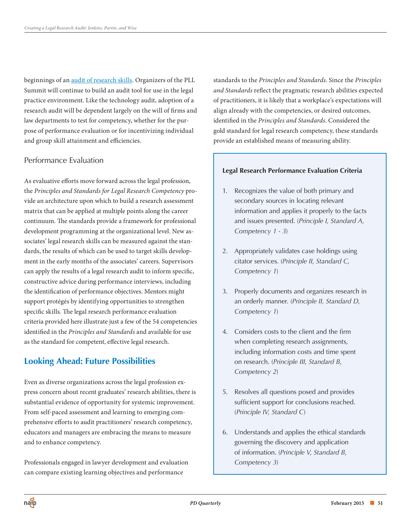beginnings of an [audit of research skills.](http://pllsummit.wordpress.com/2014/06/13/could-your-lawyers-pass-a-general-counsels-research-skills-audit/) Organizers of the PLL Summit will continue to build an audit tool for use in the legal practice environment. Like the technology audit, adoption of a research audit will be dependent largely on the will of firms and law departments to test for competency, whether for the purpose of performance evaluation or for incentivizing individual and group skill attainment and efficiencies.

#### Performance Evaluation

As evaluative efforts move forward across the legal profession, the *Principles and Standards for Legal Research Competency* provide an architecture upon which to build a research assessment matrix that can be applied at multiple points along the career continuum. The standards provide a framework for professional development programming at the organizational level. New associates' legal research skills can be measured against the standards, the results of which can be used to target skills development in the early months of the associates' careers. Supervisors can apply the results of a legal research audit to inform specific, constructive advice during performance interviews, including the identification of performance objectives. Mentors might support protégés by identifying opportunities to strengthen specific skills. The legal research performance evaluation criteria provided here illustrate just a few of the 54 competencies identified in the *Principles and Standards* and available for use as the standard for competent, effective legal research.

#### **Looking Ahead: Future Possibilities**

Even as diverse organizations across the legal profession express concern about recent graduates' research abilities, there is substantial evidence of opportunity for systemic improvement. From self-paced assessment and learning to emerging comprehensive efforts to audit practitioners' research competency, educators and managers are embracing the means to measure and to enhance competency.

Professionals engaged in lawyer development and evaluation can compare existing learning objectives and performance

standards to the *Principles and Standards*. Since the *Principles and Standards* reflect the pragmatic research abilities expected of practitioners, it is likely that a workplace's expectations will align already with the competencies, or desired outcomes, identified in the *Principles and Standards*. Considered the gold standard for legal research competency, these standards provide an established means of measuring ability.

#### **Legal Research Performance Evaluation Criteria**

- 1. Recognizes the value of both primary and secondary sources in locating relevant information and applies it properly to the facts and issues presented. (*Principle I, Standard A, Competency 1 - 3*)
- 2. Appropriately validates case holdings using citator services. (*Principle II, Standard C, Competency 1*)
- 3. Properly documents and organizes research in an orderly manner. (*Principle II, Standard D, Competency 1*)
- 4. Considers costs to the client and the firm when completing research assignments, including information costs and time spent on research. (*Principle III, Standard B, Competency 2*)
- 5. Resolves all questions posed and provides sufficient support for conclusions reached. (*Principle IV, Standard C*)
- 6. Understands and applies the ethical standards governing the discovery and application of information. (*Principle V, Standard B, Competency 3*)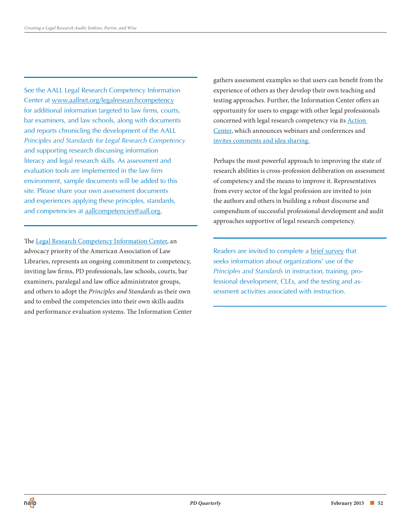See the AALL Legal Research Competency Information Center at [www.aallnet.org/legalresearchcompetency](http://www.aallnet.org/legalresearchcompetency) for additional information targeted to law firms, courts, bar examiners, and law schools, along with documents and reports chronicling the development of the AALL *Principles and Standards for Legal Research Competency* and supporting research discussing information literacy and legal research skills. As assessment and evaluation tools are implemented in the law firm environment, sample documents will be added to this site. Please share your own assessment documents and experiences applying these principles, standards, and competencies at [aallcompetencies@aall.org.](mailto:aallcompetencies@aall.org)

The [Legal Research Competency Information Center,](http://www.aallnet.org/mm/Advocacy/legalresearchcompetency) an advocacy priority of the American Association of Law Libraries, represents an ongoing commitment to competency, inviting law firms, PD professionals, law schools, courts, bar examiners, paralegal and law office administrator groups, and others to adopt the *Principles and Standards* as their own and to embed the competencies into their own skills audits and performance evaluation systems. The Information Center gathers assessment examples so that users can benefit from the experience of others as they develop their own teaching and testing approaches. Further, the Information Center offers an opportunity for users to engage with other legal professionals concerned with legal research competency via its [Action](http://aallnet.org/mm/Advocacy/legalresearchcompetency)  [Center,](http://aallnet.org/mm/Advocacy/legalresearchcompetency) which announces webinars and conferences and [invites comments and idea sharing.](http://www.aallnet.org/mm/Advocacy/legalresearchcompetency/connect)

Perhaps the most powerful approach to improving the state of research abilities is cross-profession deliberation on assessment of competency and the means to improve it. Representatives from every sector of the legal profession are invited to join the authors and others in building a robust discourse and compendium of successful professional development and audit approaches supportive of legal research competency.

Readers are invited to complete a [brief survey](https://www.surveymonkey.com/s/HX623PV) that seeks information about organizations' use of the *Principles and Standards* in instruction, training, professional development, CLEs, and the testing and assessment activities associated with instruction.